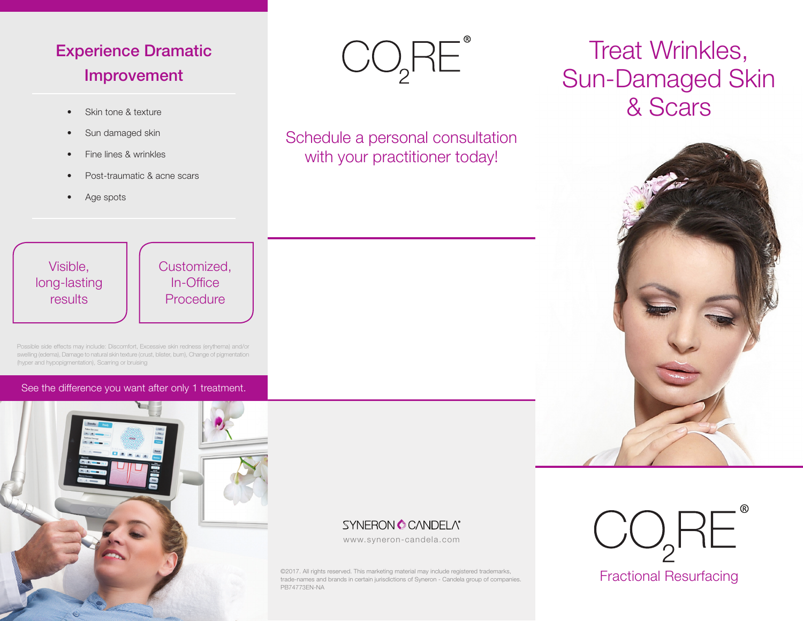# Experience Dramatic Improvement

- Skin tone & texture
- Sun damaged skin
- Fine lines & wrinkles
- Post-traumatic & acne scars
- Age spots



Schedule a personal consultation with your practitioner today!

# Visible, long-lasting results

Customized, In-Office Procedure

Possible side effects may include: Discomfort, Excessive skin redness (erythema) and/or swelling (edema), Damage to natural skin texture (crust, blister, burn), Change of pigmentation (hyper and hypopigmentation), Scarring or bruising

See the difference you want after only 1 treatment.



# **SYNERON CONDELA®**

www.syneron-candela.com

©2017. All rights reserved. This marketing material may include registered trademarks, trade-names and brands in certain jurisdictions of Syneron - Candela group of companies. PB74773EN-NA

# Treat Wrinkles, Sun-Damaged Skin & Scars



Fractional Resurfacing